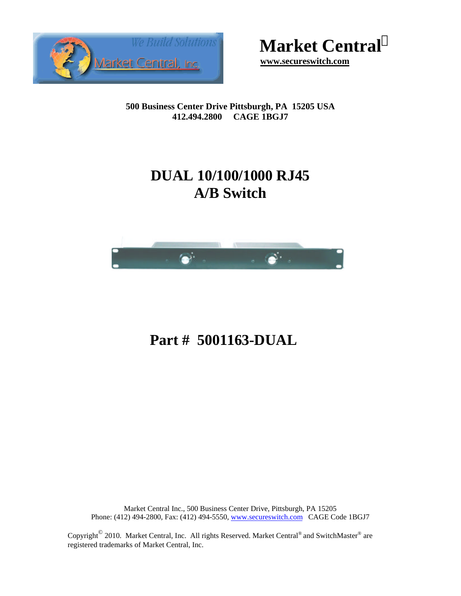

**Market Central<sup>Ò</sup>**

 **www.secureswitch.com**

**500 Business Center Drive Pittsburgh, PA 15205 USA 412.494.2800 CAGE 1BGJ7**

## **DUAL 10/100/1000 RJ45 A/B Switch**



# **Part # 5001163-DUAL**

Market Central Inc., 500 Business Center Drive, Pittsburgh, PA 15205 Phone: (412) 494-2800, Fax: (412) 494-5550, www.secureswitch.com CAGE Code 1BGJ7

Copyright<sup>©</sup> 2010. Market Central, Inc. All rights Reserved. Market Central<sup>®</sup> and SwitchMaster<sup>®</sup> are registered trademarks of Market Central, Inc.